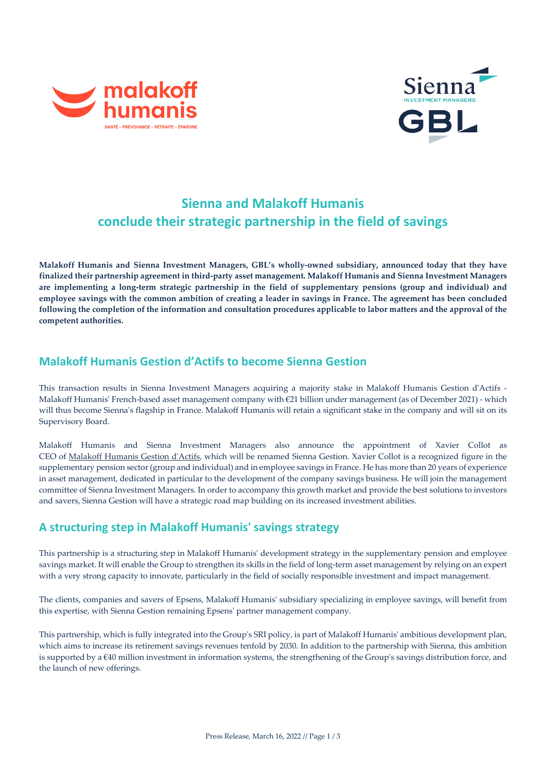



# **Sienna and Malakoff Humanis conclude their strategic partnership in the field of savings**

**Malakoff Humanis and Sienna Investment Managers, GBL's wholly-owned subsidiary, announced today that they have finalized their partnership agreement in third-party asset management. Malakoff Humanis and Sienna Investment Managers are implementing a long-term strategic partnership in the field of supplementary pensions (group and individual) and employee savings with the common ambition of creating a leader in savings in France. The agreement has been concluded following the completion of the information and consultation procedures applicable to labor matters and the approval of the competent authorities.**

## **Malakoff Humanis Gestion d'Actifs to become Sienna Gestion**

This transaction results in Sienna Investment Managers acquiring a majority stake in Malakoff Humanis Gestion d'Actifs - Malakoff Humanis' French-based asset management company with €21 billion under management (as of December 2021) - which will thus become Sienna's flagship in France. Malakoff Humanis will retain a significant stake in the company and will sit on its Supervisory Board.

Malakoff Humanis and Sienna Investment Managers also announce the appointment of Xavier Collot as CEO of [Malakoff Humanis Gestion d'Actifs,](https://hga.humanis.com/) which will be renamed Sienna Gestion. Xavier Collot is a recognized figure in the supplementary pension sector (group and individual) and in employee savings in France. He has more than 20 years of experience in asset management, dedicated in particular to the development of the company savings business. He will join the management committee of Sienna Investment Managers. In order to accompany this growth market and provide the best solutions to investors and savers, Sienna Gestion will have a strategic road map building on its increased investment abilities.

## **A structuring step in Malakoff Humanis' savings strategy**

This partnership is a structuring step in Malakoff Humanis' development strategy in the supplementary pension and employee savings market. It will enable the Group to strengthen its skills in the field of long-term asset management by relying on an expert with a very strong capacity to innovate, particularly in the field of socially responsible investment and impact management.

The clients, companies and savers of Epsens, Malakoff Humanis' subsidiary specializing in employee savings, will benefit from this expertise, with Sienna Gestion remaining Epsens' partner management company.

This partnership, which is fully integrated into the Group's SRI policy, is part of Malakoff Humanis' ambitious development plan, which aims to increase its retirement savings revenues tenfold by 2030. In addition to the partnership with Sienna, this ambition is supported by a €40 million investment in information systems, the strengthening of the Group's savings distribution force, and the launch of new offerings.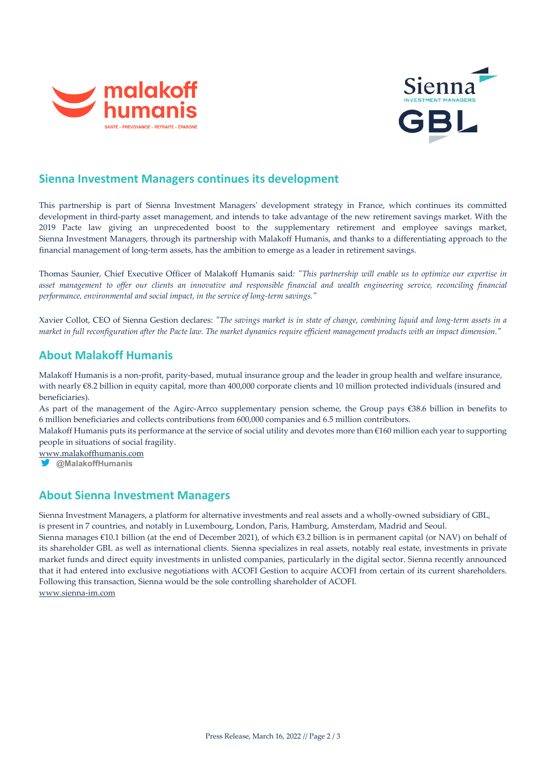



## **Sienna Investment Managers continues its development**

This partnership is part of Sienna Investment Managers' development strategy in France, which continues its committed development in third-party asset management, and intends to take advantage of the new retirement savings market. With the 2019 Pacte law giving an unprecedented boost to the supplementary retirement and employee savings market, Sienna Investment Managers, through its partnership with Malakoff Humanis, and thanks to a differentiating approach to the financial management of long-term assets, has the ambition to emerge as a leader in retirement savings.

Thomas Saunier, Chief Executive Officer of Malakoff Humanis said*: "This partnership will enable us to optimize our expertise in asset management to offer our clients an innovative and responsible financial and wealth engineering service, reconciling financial performance, environmental and social impact, in the service of long-term savings."*

Xavier Collot, CEO of Sienna Gestion declares: *"The savings market is in state of change, combining liquid and long-term assets in a market in full reconfiguration after the Pacte law. The market dynamics require efficient management products with an impact dimension."*

#### **About Malakoff Humanis**

Malakoff Humanis is a non-profit, parity-based, mutual insurance group and the leader in group health and welfare insurance, with nearly €8.2 billion in equity capital, more than 400,000 corporate clients and 10 million protected individuals (insured and beneficiaries).

As part of the management of the Agirc-Arrco supplementary pension scheme, the Group pays €38.6 billion in benefits to 6 million beneficiaries and collects contributions from 600,000 companies and 6.5 million contributors.

Malakoff Humanis puts its performance at the service of social utility and devotes more than €160 million each year to supporting people in situations of social fragility.

[www.malakoffhumanis.com](https://protect-eu.mimecast.com/s/P_e_C86JKuY3QKs1BmFN?domain=malakoffhumanis.com)

**@MalakoffHumanis**

## **About Sienna Investment Managers**

Sienna Investment Managers, a platform for alternative investments and real assets and a wholly-owned subsidiary of GBL, is present in 7 countries, and notably in Luxembourg, London, Paris, Hamburg, Amsterdam, Madrid and Seoul.

Sienna manages €10.1 billion (at the end of December 2021), of which €3.2 billion is in permanent capital (or NAV) on behalf of its shareholder GBL as well as international clients. Sienna specializes in real assets, notably real estate, investments in private market funds and direct equity investments in unlisted companies, particularly in the digital sector. Sienna recently announced that it had entered into exclusive negotiations with ACOFI Gestion to acquire ACOFI from certain of its current shareholders. Following this transaction, Sienna would be the sole controlling shareholder of ACOFI. [www.sienna-im.com](http://www.sienna-im.com/)